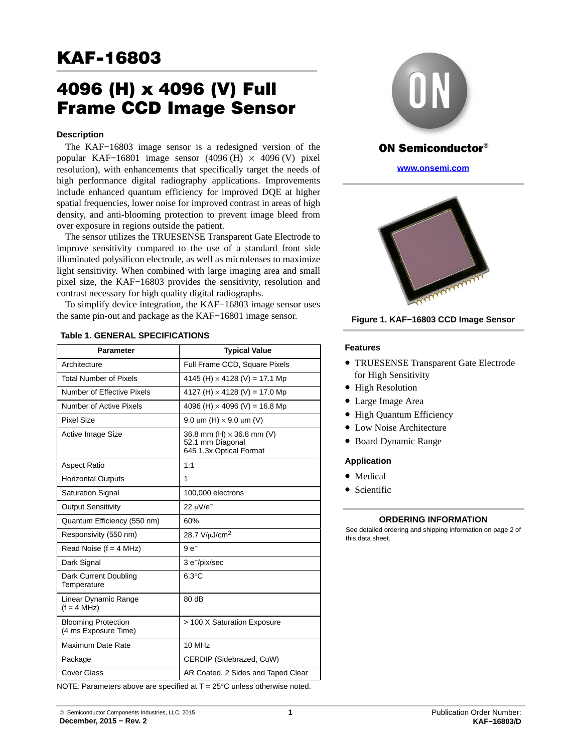# **KAF-16803** <u>Karl Street (1980)</u>

# **Frame CCD Image Sens** Frame CCD Image Sensor

# **Description**

The KAF−16803 image sensor is a redesigned version of the popular KAF-16801 image sensor  $(4096 \text{ (H)} \times 4096 \text{ (V)}$  pixel resolution), with enhancements that specifically target the needs of high performance digital radiography applications. Improvements include enhanced quantum efficiency for improved DQE at higher spatial frequencies, lower noise for improved contrast in areas of high density, and anti-blooming protection to prevent image bleed from over exposure in regions outside the patient.

The sensor utilizes the TRUESENSE Transparent Gate Electrode to improve sensitivity compared to the use of a standard front side illuminated polysilicon electrode, as well as microlenses to maximize light sensitivity. When combined with large imaging area and small pixel size, the KAF−16803 provides the sensitivity, resolution and contrast necessary for high quality digital radiographs.

To simplify device integration, the KAF−16803 image sensor uses the same pin-out and package as the KAF−16801 image sensor.

| Parameter                                          | <b>Typical Value</b>                                                            |
|----------------------------------------------------|---------------------------------------------------------------------------------|
| Architecture                                       |                                                                                 |
|                                                    | Full Frame CCD, Square Pixels                                                   |
| <b>Total Number of Pixels</b>                      | 4145 (H) $\times$ 4128 (V) = 17.1 Mp                                            |
| Number of Effective Pixels                         | 4127 (H) $\times$ 4128 (V) = 17.0 Mp                                            |
| Number of Active Pixels                            | 4096 (H) $\times$ 4096 (V) = 16.8 Mp                                            |
| <b>Pixel Size</b>                                  | 9.0 $\mu$ m (H) $\times$ 9.0 $\mu$ m (V)                                        |
| Active Image Size                                  | 36.8 mm (H) $\times$ 36.8 mm (V)<br>52.1 mm Diagonal<br>645 1.3x Optical Format |
| <b>Aspect Ratio</b>                                | 1:1                                                                             |
| <b>Horizontal Outputs</b>                          | 1                                                                               |
| <b>Saturation Signal</b>                           | 100,000 electrons                                                               |
| <b>Output Sensitivity</b>                          | 22 uV/e <sup>-1</sup>                                                           |
| Quantum Efficiency (550 nm)                        | 60%                                                                             |
| Responsivity (550 nm)                              | 28.7 V/uJ/cm <sup>2</sup>                                                       |
| Read Noise $(f = 4 MHz)$                           | $9e^-$                                                                          |
| Dark Signal                                        | 3 e <sup>-/</sup> pix/sec                                                       |
| Dark Current Doubling<br>Temperature               | $6.3^{\circ}$ C                                                                 |
| Linear Dynamic Range<br>$(f = 4 MHz)$              | 80 dB                                                                           |
| <b>Blooming Protection</b><br>(4 ms Exposure Time) | > 100 X Saturation Exposure                                                     |
| Maximum Date Rate                                  | 10 MHz                                                                          |
| Package                                            | CERDIP (Sidebrazed, CuW)                                                        |
| Cover Glass                                        | AR Coated, 2 Sides and Taped Clear                                              |
|                                                    |                                                                                 |

**Table 1. GENERAL SPECIFICATIONS**





# **ON Semiconductor®**

**[www.onsemi.com](http://onsemi.com)**



**Figure 1. KAF−16803 CCD Image Sensor**

# **Features**

- TRUESENSE Transparent Gate Electrode for High Sensitivity
- High Resolution
- Large Image Area
- High Quantum Efficiency
- Low Noise Architecture
- Board Dynamic Range

# **Application**

- Medical
- Scientific

# **ORDERING INFORMATION**

See detailed ordering and shipping information on page 2 of this data sheet.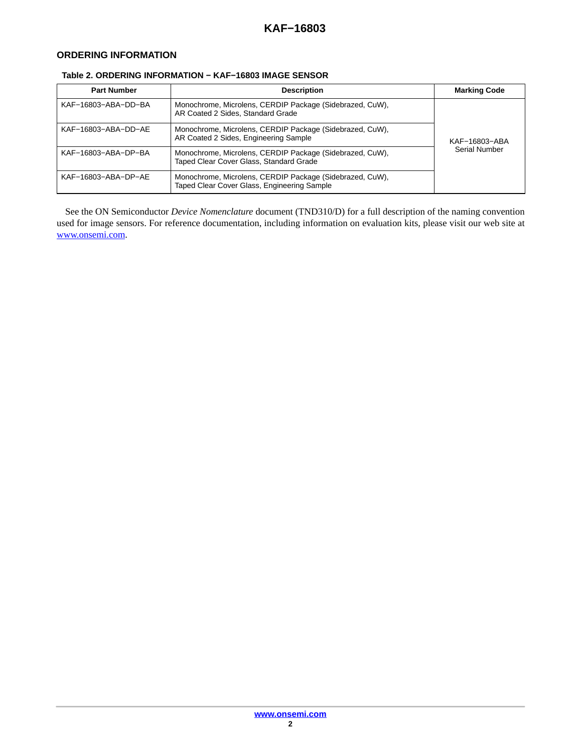# **ORDERING INFORMATION**

# **Table 2. ORDERING INFORMATION − KAF−16803 IMAGE SENSOR**

| <b>Part Number</b>  | <b>Description</b>                                                                                      | <b>Marking Code</b> |
|---------------------|---------------------------------------------------------------------------------------------------------|---------------------|
| KAF-16803-ABA-DD-BA | Monochrome, Microlens, CERDIP Package (Sidebrazed, CuW),<br>AR Coated 2 Sides, Standard Grade           |                     |
| KAF-16803-ABA-DD-AE | Monochrome, Microlens, CERDIP Package (Sidebrazed, CuW),<br>AR Coated 2 Sides, Engineering Sample       | KAF-16803-ABA       |
| KAF-16803-ABA-DP-BA | Monochrome, Microlens, CERDIP Package (Sidebrazed, CuW),<br>Taped Clear Cover Glass, Standard Grade     | Serial Number       |
| KAF-16803-ABA-DP-AE | Monochrome, Microlens, CERDIP Package (Sidebrazed, CuW),<br>Taped Clear Cover Glass, Engineering Sample |                     |

See the ON Semiconductor *Device Nomenclature* document (TND310/D) for a full description of the naming convention used for image sensors. For reference documentation, including information on evaluation kits, please visit our web site at [www.onsemi.com.](http://onsemi.com)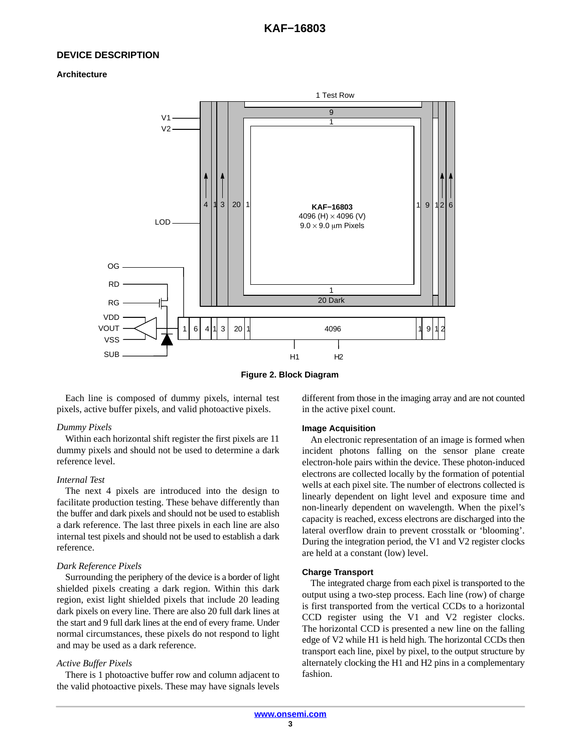# **DEVICE DESCRIPTION**

#### **Architecture**



**Figure 2. Block Diagram**

Each line is composed of dummy pixels, internal test pixels, active buffer pixels, and valid photoactive pixels.

# *Dummy Pixels*

Within each horizontal shift register the first pixels are 11 dummy pixels and should not be used to determine a dark reference level.

#### *Internal Test*

The next 4 pixels are introduced into the design to facilitate production testing. These behave differently than the buffer and dark pixels and should not be used to establish a dark reference. The last three pixels in each line are also internal test pixels and should not be used to establish a dark reference.

# *Dark Reference Pixels*

Surrounding the periphery of the device is a border of light shielded pixels creating a dark region. Within this dark region, exist light shielded pixels that include 20 leading dark pixels on every line. There are also 20 full dark lines at the start and 9 full dark lines at the end of every frame. Under normal circumstances, these pixels do not respond to light and may be used as a dark reference.

# *Active Buffer Pixels*

There is 1 photoactive buffer row and column adjacent to the valid photoactive pixels. These may have signals levels different from those in the imaging array and are not counted in the active pixel count.

#### **Image Acquisition**

An electronic representation of an image is formed when incident photons falling on the sensor plane create electron-hole pairs within the device. These photon-induced electrons are collected locally by the formation of potential wells at each pixel site. The number of electrons collected is linearly dependent on light level and exposure time and non-linearly dependent on wavelength. When the pixel's capacity is reached, excess electrons are discharged into the lateral overflow drain to prevent crosstalk or 'blooming'. During the integration period, the V1 and V2 register clocks are held at a constant (low) level.

# **Charge Transport**

The integrated charge from each pixel is transported to the output using a two-step process. Each line (row) of charge is first transported from the vertical CCDs to a horizontal CCD register using the V1 and V2 register clocks. The horizontal CCD is presented a new line on the falling edge of V2 while H1 is held high. The horizontal CCDs then transport each line, pixel by pixel, to the output structure by alternately clocking the H1 and H2 pins in a complementary fashion.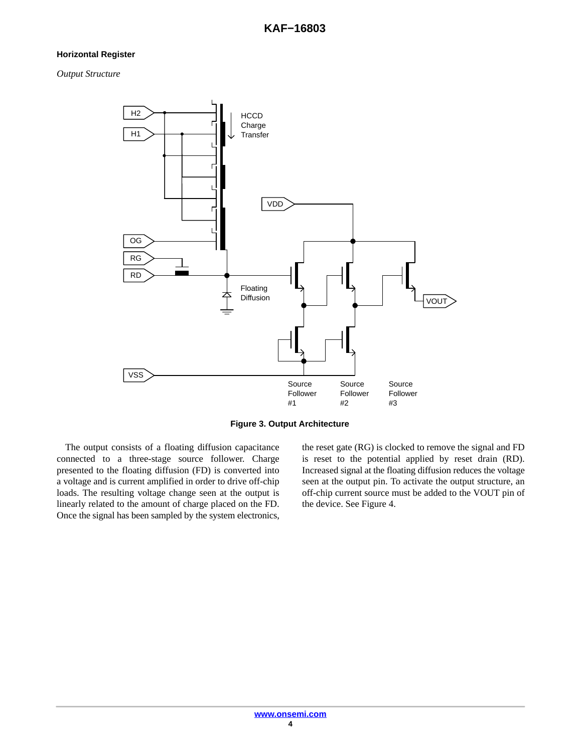# **Horizontal Register**

*Output Structure*



**Figure 3. Output Architecture**

The output consists of a floating diffusion capacitance connected to a three-stage source follower. Charge presented to the floating diffusion (FD) is converted into a voltage and is current amplified in order to drive off-chip loads. The resulting voltage change seen at the output is linearly related to the amount of charge placed on the FD. Once the signal has been sampled by the system electronics,

the reset gate (RG) is clocked to remove the signal and FD is reset to the potential applied by reset drain (RD). Increased signal at the floating diffusion reduces the voltage seen at the output pin. To activate the output structure, an off-chip current source must be added to the VOUT pin of the device. See Figure [4](#page-4-0).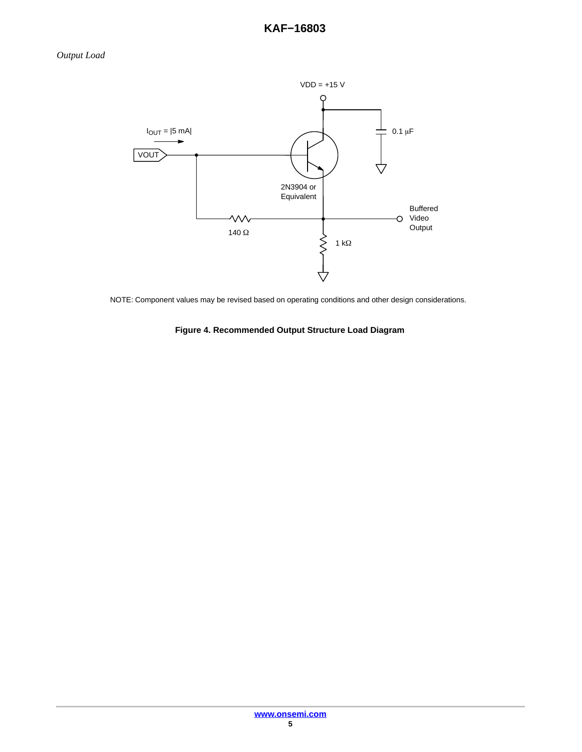<span id="page-4-0"></span>

NOTE: Component values may be revised based on operating conditions and other design considerations.

**Figure 4. Recommended Output Structure Load Diagram**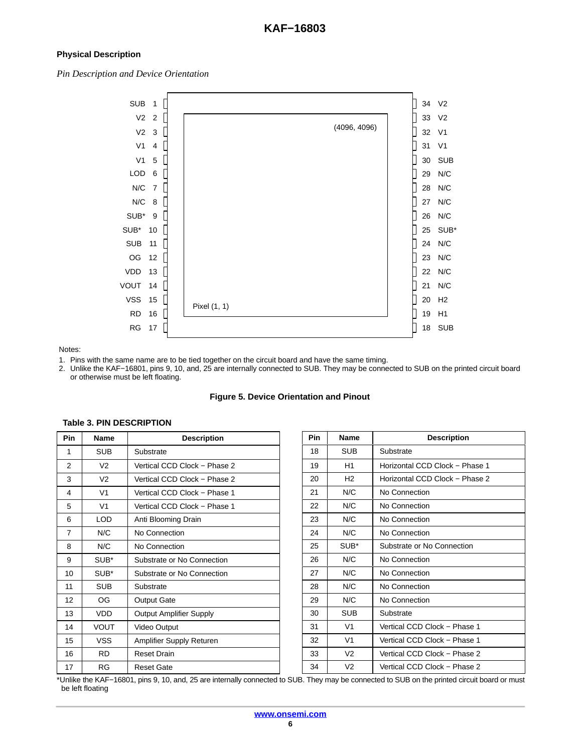# **Physical Description**

*Pin Description and Device Orientation*



# Notes:

be left floating

**Table 3. PIN DESCRIPTION**

1. Pins with the same name are to be tied together on the circuit board and have the same timing.

2. Unlike the KAF−16801, pins 9, 10, and, 25 are internally connected to SUB. They may be connected to SUB on the printed circuit board or otherwise must be left floating.

# **Figure 5. Device Orientation and Pinout**

| Pin            | Name           | <b>Description</b>              |
|----------------|----------------|---------------------------------|
| 1              | <b>SUB</b>     | Substrate                       |
| 2              | V <sub>2</sub> | Vertical CCD Clock - Phase 2    |
| 3              | V <sub>2</sub> | Vertical CCD Clock - Phase 2    |
| 4              | V <sub>1</sub> | Vertical CCD Clock - Phase 1    |
| 5              | V <sub>1</sub> | Vertical CCD Clock - Phase 1    |
| 6              | LOD            | Anti Blooming Drain             |
| $\overline{7}$ | N/C            | No Connection                   |
| 8              | N/C            | No Connection                   |
| 9              | SUB*           | Substrate or No Connection      |
| 10             | SUB*           | Substrate or No Connection      |
| 11             | <b>SUB</b>     | Substrate                       |
| 12             | OG             | <b>Output Gate</b>              |
| 13             | VDD            | <b>Output Amplifier Supply</b>  |
| 14             | VOUT           | Video Output                    |
| 15             | <b>VSS</b>     | <b>Amplifier Supply Returen</b> |
| 16             | RD.            | <b>Reset Drain</b>              |
| 17             | RG             | <b>Reset Gate</b>               |

| Pin | Name           | <b>Description</b>             |
|-----|----------------|--------------------------------|
| 18  | SUB            | Substrate                      |
| 19  | H1             | Horizontal CCD Clock - Phase 1 |
| 20  | H <sub>2</sub> | Horizontal CCD Clock - Phase 2 |
| 21  | N/C            | No Connection                  |
| 22  | N/C            | No Connection                  |
| 23  | N/C            | No Connection                  |
| 24  | N/C            | No Connection                  |
| 25  | SUB*           | Substrate or No Connection     |
| 26  | N/C            | No Connection                  |
| 27  | N/C            | No Connection                  |
| 28  | N/C            | No Connection                  |
| 29  | N/C            | No Connection                  |
| 30  | <b>SUB</b>     | Substrate                      |

 V1 Vertical CCD Clock − Phase 1 V1 Vertical CCD Clock − Phase 1 V2 Vertical CCD Clock − Phase 2 V2 Vertical CCD Clock − Phase 2

**[www.onsemi.com](http://onsemi.com)**

\*Unlike the KAF−16801, pins 9, 10, and, 25 are internally connected to SUB. They may be connected to SUB on the printed circuit board or must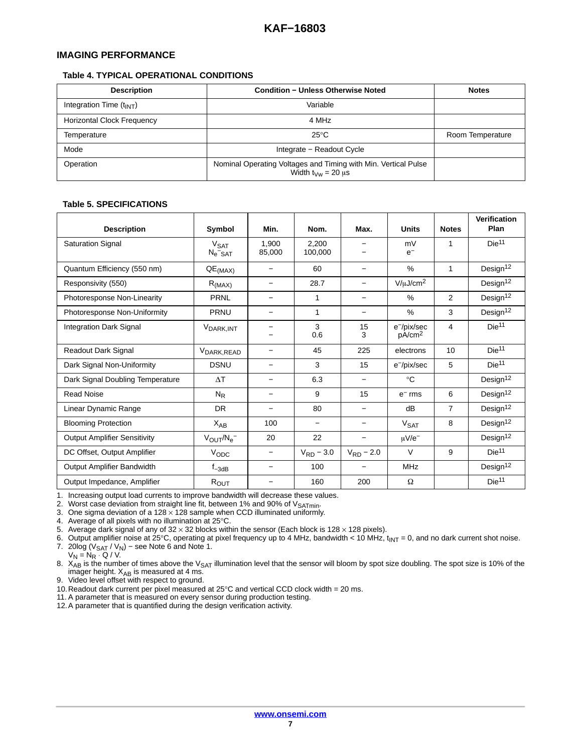# **IMAGING PERFORMANCE**

# **Table 4. TYPICAL OPERATIONAL CONDITIONS**

| <b>Description</b>                | <b>Condition - Unless Otherwise Noted</b>                                                                        | <b>Notes</b>     |
|-----------------------------------|------------------------------------------------------------------------------------------------------------------|------------------|
| Integration Time $(t_{INT})$      | Variable                                                                                                         |                  |
| <b>Horizontal Clock Frequency</b> | 4 MHz                                                                                                            |                  |
| Temperature                       | $25^{\circ}$ C                                                                                                   | Room Temperature |
| Mode                              | Integrate - Readout Cycle                                                                                        |                  |
| Operation                         | Nominal Operating Voltages and Timing with Min. Vertical Pulse<br>Width $t_{\text{Vw}} = 20 \text{ }\mu\text{s}$ |                  |

# **Table 5. SPECIFICATIONS**

| <b>Description</b>                  | Symbol                                                        | Min.                     | Nom.             | Max.                     | <b>Units</b>                     | <b>Notes</b>   | Verification<br>Plan |
|-------------------------------------|---------------------------------------------------------------|--------------------------|------------------|--------------------------|----------------------------------|----------------|----------------------|
| <b>Saturation Signal</b>            | <b>V<sub>SAT</sub></b><br>$N_e$ <sup><math>-</math></sup> SAT | 1.900<br>85,000          | 2.200<br>100,000 |                          | mV<br>$e^-$                      | 1              | Die <sup>11</sup>    |
| Quantum Efficiency (550 nm)         | $QE$ <sub>(MAX)</sub>                                         |                          | 60               |                          | $\%$                             | 1              | Design <sup>12</sup> |
| Responsivity (550)                  | R <sub>(MAX)</sub>                                            |                          | 28.7             | $\overline{\phantom{0}}$ | $V/\mu J/cm^2$                   |                | Design <sup>12</sup> |
| Photoresponse Non-Linearity         | PRNL                                                          |                          | 1                | $\overline{\phantom{0}}$ | $\%$                             | $\overline{2}$ | Design <sup>12</sup> |
| Photoresponse Non-Uniformity        | <b>PRNU</b>                                                   |                          | 1                | -                        | $\%$                             | 3              | Design <sup>12</sup> |
| <b>Integration Dark Signal</b>      | V <sub>DARK, INT</sub>                                        |                          | 3<br>0.6         | 15<br>3                  | e-/pix/sec<br>pA/cm <sup>2</sup> | 4              | Die <sup>11</sup>    |
| Readout Dark Signal                 | V <sub>DARK, READ</sub>                                       | -                        | 45               | 225                      | electrons                        | 10             | Die <sup>11</sup>    |
| Dark Signal Non-Uniformity          | <b>DSNU</b>                                                   | $\overline{\phantom{0}}$ | 3                | 15                       | e <sup>-/pix/sec</sup>           | 5              | Die <sup>11</sup>    |
| Dark Signal Doubling Temperature    | $\Delta T$                                                    | -                        | 6.3              | —                        | $^{\circ}C$                      |                | Design <sup>12</sup> |
| <b>Read Noise</b>                   | $N_{R}$                                                       | $\qquad \qquad$          | 9                | 15                       | $e^-$ rms                        | 6              | Design <sup>12</sup> |
| Linear Dynamic Range                | <b>DR</b>                                                     | $\qquad \qquad$          | 80               | —                        | dB                               | $\overline{7}$ | Design <sup>12</sup> |
| <b>Blooming Protection</b>          | $X_{AB}$                                                      | 100                      |                  |                          | V <sub>SAT</sub>                 | 8              | Design <sup>12</sup> |
| <b>Output Amplifier Sensitivity</b> | $V_{\text{OUT}}/N_{\text{e}}^-$                               | 20                       | 22               |                          | $\mu$ V/e <sup>-</sup>           |                | Design <sup>12</sup> |
| DC Offset, Output Amplifier         | VODC                                                          | $\overline{\phantom{m}}$ | $V_{RD}$ – 3.0   | $V_{RD} - 2.0$           | $\vee$                           | 9              | Die <sup>11</sup>    |
| Output Amplifier Bandwidth          | $f_{-3dB}$                                                    |                          | 100              |                          | <b>MHz</b>                       |                | Design $12$          |
| Output Impedance, Amplifier         | $R_{OUT}$                                                     |                          | 160              | 200                      | Ω                                |                | Die <sup>11</sup>    |

1. Increasing output load currents to improve bandwidth will decrease these values.

2. Worst case deviation from straight line fit, between 1% and 90% of V<sub>SATmin</sub>.<br>3. One sigma deviation of a 128 × 128 sample when CCD illuminated uniformly.

4. Average of all pixels with no illumination at 25°C.

5. Average dark signal of any of  $32 \times 32$  blocks within the sensor (Each block is 128  $\times$  128 pixels).

6. Output amplifier noise at 25°C, operating at pixel frequency up to 4 MHz, bandwidth < 10 MHz,  $t_{INT} = 0$ , and no dark current shot noise. 7. 20log ( $V_{\text{SAT}}$  /  $V_{\text{N}}$ ) – see Note 6 and Note 1.

 $V_N = N_R \cdot Q / V.$ 

8.  $X_{AB}$  is the number of times above the  $V_{SAT}$  illumination level that the sensor will bloom by spot size doubling. The spot size is 10% of the imager height.  $X_{AB}$  is measured at 4 ms.

9. Video level offset with respect to ground.

10. Readout dark current per pixel measured at  $25^{\circ}$ C and vertical CCD clock width = 20 ms.

11. A parameter that is measured on every sensor during production testing.

12.A parameter that is quantified during the design verification activity.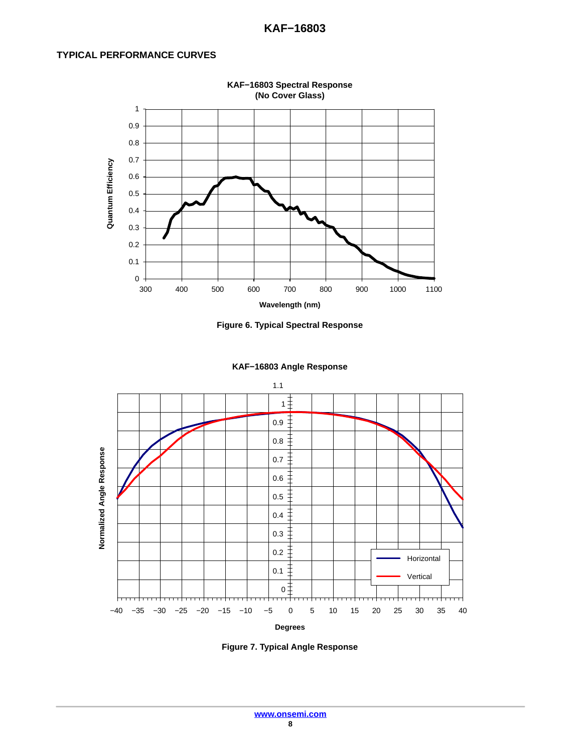# **TYPICAL PERFORMANCE CURVES**









**Figure 7. Typical Angle Response**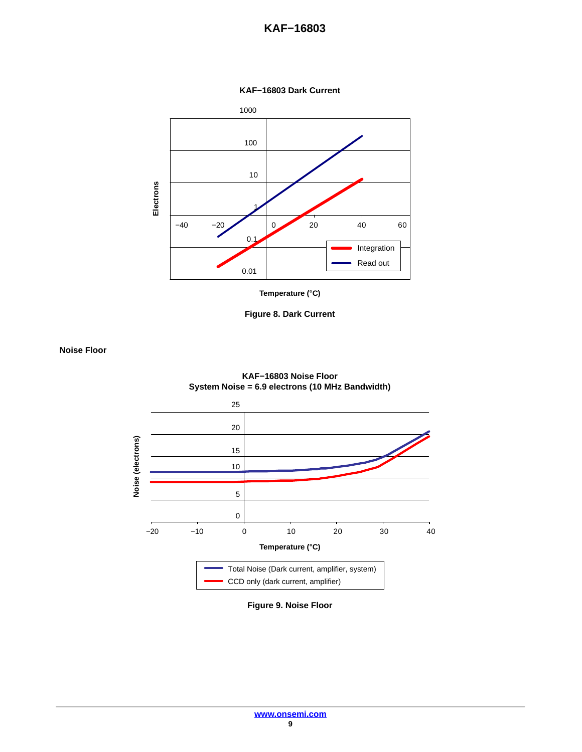**KAF−16803**







**Noise Floor**



**KAF−16803 Noise Floor System Noise = 6.9 electrons (10 MHz Bandwidth)**

**Figure 9. Noise Floor**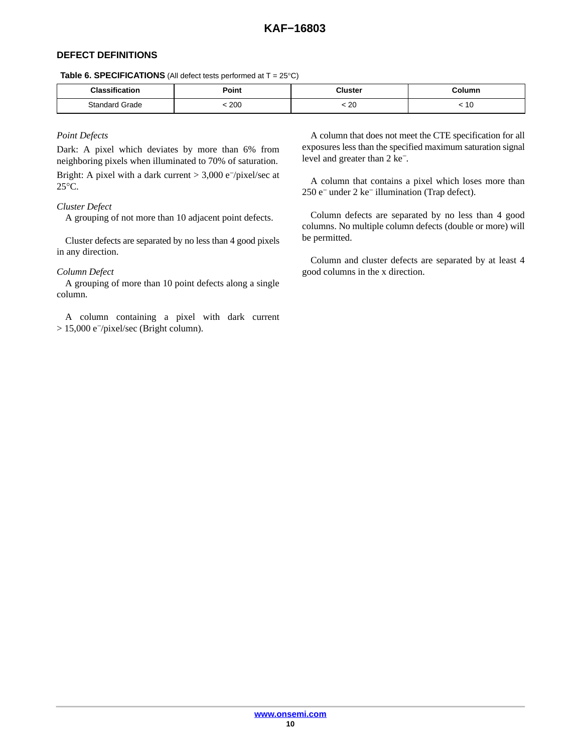# **DEFECT DEFINITIONS**

**Table 6. SPECIFICATIONS** (All defect tests performed at  $T = 25^{\circ}C$ )

| <b>Classification</b> | יסי | Cluster      | Column |
|-----------------------|-----|--------------|--------|
| Standard<br>Grade     | 200 | 20<br>$\sim$ | 10     |

# *Point Defects*

Dark: A pixel which deviates by more than 6% from neighboring pixels when illuminated to 70% of saturation.

Bright: A pixel with a dark current > 3,000 e−/pixel/sec at 25°C.

# *Cluster Defect*

A grouping of not more than 10 adjacent point defects.

Cluster defects are separated by no less than 4 good pixels in any direction.

# *Column Defect*

A grouping of more than 10 point defects along a single column.

A column containing a pixel with dark current > 15,000 e−/pixel/sec (Bright column).

A column that does not meet the CTE specification for all exposures less than the specified maximum saturation signal level and greater than 2 ke−.

A column that contains a pixel which loses more than 250 e− under 2 ke− illumination (Trap defect).

Column defects are separated by no less than 4 good columns. No multiple column defects (double or more) will be permitted.

Column and cluster defects are separated by at least 4 good columns in the x direction.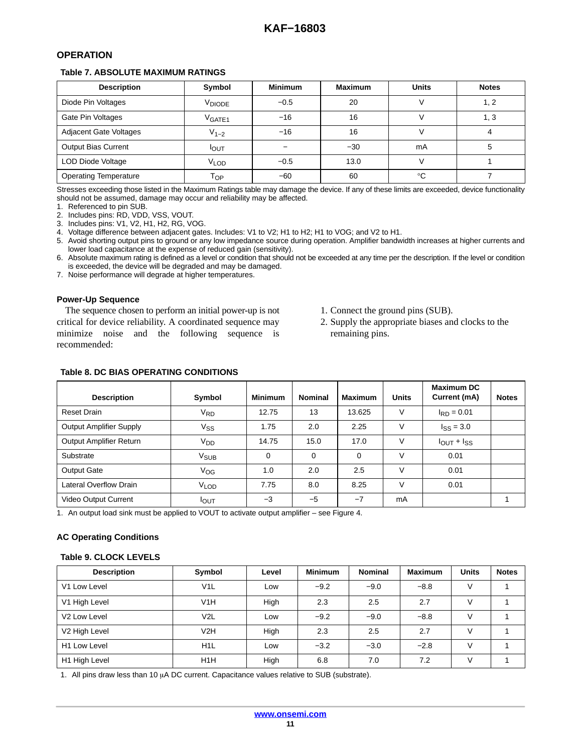# <span id="page-10-0"></span>**OPERATION**

# **Table 7. ABSOLUTE MAXIMUM RATINGS**

| <b>Description</b>            | Symbol               | <b>Minimum</b> | <b>Maximum</b> | <b>Units</b> | <b>Notes</b> |
|-------------------------------|----------------------|----------------|----------------|--------------|--------------|
| Diode Pin Voltages            | V <sub>DIODE</sub>   | $-0.5$         | 20             |              | 1, 2         |
| Gate Pin Voltages             | $V_{\mathsf{GATE1}}$ | $-16$          | 16             |              | 1. 3         |
| <b>Adjacent Gate Voltages</b> | $V_{1-2}$            | $-16$          | 16             |              |              |
| <b>Output Bias Current</b>    | <b>I</b> OUT         |                | $-30$          | mA           |              |
| LOD Diode Voltage             | <b>VLOD</b>          | $-0.5$         | 13.0           |              |              |
| <b>Operating Temperature</b>  | Гор                  | $-60$          | 60             | °C           |              |

Stresses exceeding those listed in the Maximum Ratings table may damage the device. If any of these limits are exceeded, device functionality should not be assumed, damage may occur and reliability may be affected.

1. Referenced to pin SUB.

2. Includes pins: RD, VDD, VSS, VOUT.

3. Includes pins: V1, V2, H1, H2, RG, VOG.

4. Voltage difference between adjacent gates. Includes: V1 to V2; H1 to H2; H1 to VOG; and V2 to H1.

5. Avoid shorting output pins to ground or any low impedance source during operation. Amplifier bandwidth increases at higher currents and lower load capacitance at the expense of reduced gain (sensitivity).

6. Absolute maximum rating is defined as a level or condition that should not be exceeded at any time per the description. If the level or condition is exceeded, the device will be degraded and may be damaged.

7. Noise performance will degrade at higher temperatures.

# **Power-Up Sequence**

The sequence chosen to perform an initial power-up is not critical for device reliability. A coordinated sequence may minimize noise and the following sequence is recommended:

- 1. Connect the ground pins (SUB).
- 2. Supply the appropriate biases and clocks to the remaining pins.

# **Table 8. DC BIAS OPERATING CONDITIONS**

| <b>Description</b>             | Symbol                 | <b>Minimum</b> | <b>Nominal</b> | <b>Maximum</b> | <b>Units</b> | <b>Maximum DC</b><br>Current (mA) | <b>Notes</b> |
|--------------------------------|------------------------|----------------|----------------|----------------|--------------|-----------------------------------|--------------|
| <b>Reset Drain</b>             | V <sub>RD</sub>        | 12.75          | 13             | 13.625         | V            | $I_{RD} = 0.01$                   |              |
| <b>Output Amplifier Supply</b> | Vss                    | 1.75           | 2.0            | 2.25           | V            | $I_{SS} = 3.0$                    |              |
| <b>Output Amplifier Return</b> | V <sub>DD</sub>        | 14.75          | 15.0           | 17.0           | V            | $I_{OUT} + I_{SS}$                |              |
| Substrate                      | <b>V<sub>SUB</sub></b> | $\Omega$       | $\Omega$       | 0              | V            | 0.01                              |              |
| <b>Output Gate</b>             | Vog                    | 1.0            | 2.0            | 2.5            | V            | 0.01                              |              |
| Lateral Overflow Drain         | <b>VLOD</b>            | 7.75           | 8.0            | 8.25           | V            | 0.01                              |              |
| Video Output Current           | <b>I</b> OUT           | $-3$           | $-5$           | $-7$           | mA           |                                   |              |

1. An output load sink must be applied to VOUT to activate output amplifier – see Figure [4](#page-4-0).

# **AC Operating Conditions**

# **Table 9. CLOCK LEVELS**

| <b>Description</b>       | Symbol           | Level | <b>Minimum</b> | <b>Nominal</b> | <b>Maximum</b> | <b>Units</b> | <b>Notes</b> |
|--------------------------|------------------|-------|----------------|----------------|----------------|--------------|--------------|
| V1 Low Level             | V <sub>1</sub> L | Low   | $-9.2$         | $-9.0$         | $-8.8$         |              |              |
| V1 High Level            | V1H              | High  | 2.3            | 2.5            | 2.7            |              |              |
| V <sub>2</sub> Low Level | V <sub>2</sub> L | Low   | $-9.2$         | $-9.0$         | $-8.8$         |              |              |
| V2 High Level            | V2H              | High  | 2.3            | 2.5            | 2.7            | V            |              |
| H <sub>1</sub> Low Level | H <sub>1</sub> L | Low   | $-3.2$         | $-3.0$         | $-2.8$         | V            |              |
| H1 High Level            | H <sub>1</sub> H | High  | 6.8            | 7.0            | 7.2            | $\vee$       |              |

[1](#page-11-0). All pins draw less than 10  $\mu$ A DC current. Capacitance values relative to SUB (substrate).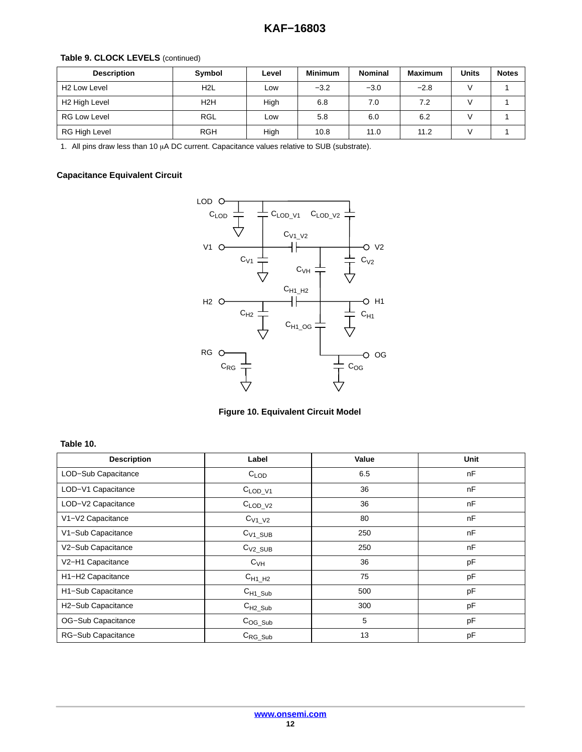# <span id="page-11-0"></span>**Table [9](#page-10-0). CLOCK LEVELS** (continued)

| <b>Description</b>       | Symbol           | Level | <b>Minimum</b> | <b>Nominal</b> | <b>Maximum</b> | <b>Units</b> | <b>Notes</b> |
|--------------------------|------------------|-------|----------------|----------------|----------------|--------------|--------------|
| H <sub>2</sub> Low Level | H <sub>2</sub> L | Low   | $-3.2$         | $-3.0$         | $-2.8$         |              |              |
| H2 High Level            | H <sub>2</sub> H | High  | 6.8            | 7.0            | 7.2            |              |              |
| <b>RG Low Level</b>      | <b>RGL</b>       | Low   | 5.8            | 6.0            | 6.2            |              |              |
| RG High Level            | <b>RGH</b>       | High  | 10.8           | 11.0           | 11.2           |              |              |

1. All pins draw less than 10  $\mu$ A DC current. Capacitance values relative to SUB (substrate).

# **Capacitance Equivalent Circuit**

**Table 10.** 



**Figure 10. Equivalent Circuit Model**

| <b>Description</b>  | Label               | Value | <b>Unit</b> |
|---------------------|---------------------|-------|-------------|
| LOD-Sub Capacitance | $C_{\text{LOD}}$    | 6.5   | nF          |
| LOD-V1 Capacitance  | $C_{\text{LOD}_V1}$ | 36    | nF          |
| LOD-V2 Capacitance  | $C_{\text{LOD}_V2}$ | 36    | nF          |
| V1-V2 Capacitance   | $C_{V1_V2}$         | 80    | nF          |
| V1-Sub Capacitance  | $C_{V1\_SUB}$       | 250   | nF          |
| V2-Sub Capacitance  | $C_{V2\_SUB}$       | 250   | nF          |
| V2-H1 Capacitance   | $C_{VH}$            | 36    | pF          |
| H1-H2 Capacitance   | $C_{H1\_H2}$        | 75    | pF          |
| H1-Sub Capacitance  | $C_{H1\_Sub}$       | 500   | pF          |
| H2-Sub Capacitance  | $C_{H2\_Sub}$       | 300   | pF          |
| OG-Sub Capacitance  | $C_{OG\_Sub}$       | 5     | pF          |
| RG-Sub Capacitance  | $C_{RG\_Sub}$       | 13    | pF          |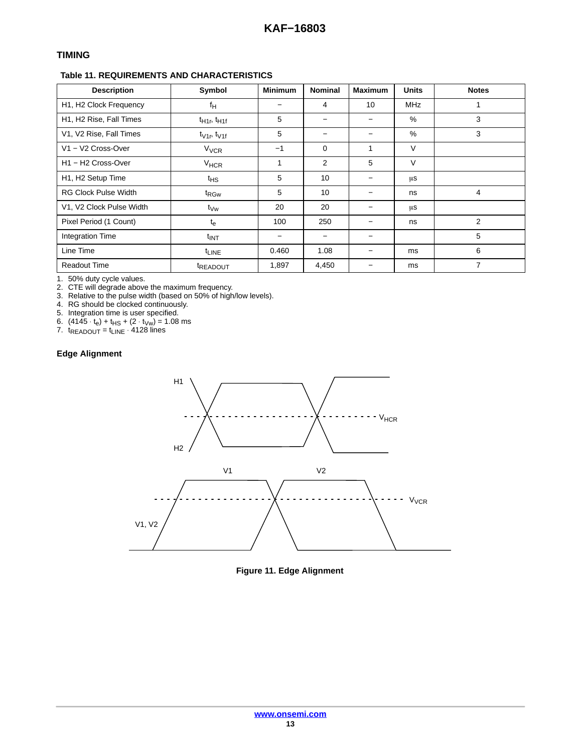# **TIMING**

# **Table 11. REQUIREMENTS AND CHARACTERISTICS**

| <b>Description</b>                         | Symbol                 | <b>Minimum</b> | <b>Nominal</b> | <b>Maximum</b> | <b>Units</b> | <b>Notes</b>   |
|--------------------------------------------|------------------------|----------------|----------------|----------------|--------------|----------------|
| H1, H2 Clock Frequency                     | f <sub>H</sub>         |                | 4              | 10             | <b>MHz</b>   |                |
| H1, H2 Rise, Fall Times                    | $t_{H1r}$ , $t_{H1f}$  | 5              |                |                | %            | 3              |
| V1, V2 Rise, Fall Times                    | $t_{V1r}$ , $t_{V1f}$  | 5              |                |                | %            | 3              |
| V1 - V2 Cross-Over                         | <b>V<sub>VCR</sub></b> | $-1$           | $\Omega$       | 1              | $\vee$       |                |
| H <sub>1</sub> – H <sub>2</sub> Cross-Over | <b>V<sub>HCR</sub></b> | 1              | 2              | 5              | $\vee$       |                |
| H1, H2 Setup Time                          | ιнs                    | 5              | 10             |                | μS           |                |
| <b>RG Clock Pulse Width</b>                | t <sub>RGw</sub>       | 5              | 10             |                | ns           | 4              |
| V1, V2 Clock Pulse Width                   | t <sub>∨w</sub>        | 20             | 20             |                | μS           |                |
| Pixel Period (1 Count)                     | $t_{e}$                | 100            | 250            |                | ns           | $\overline{2}$ |
| Integration Time                           | t <sub>INT</sub>       |                |                |                |              | 5              |
| Line Time                                  | $t_{LINE}$             | 0.460          | 1.08           |                | ms           | 6              |
| <b>Readout Time</b>                        | <sup>t</sup> READOUT   | 1,897          | 4,450          |                | ms           | 7              |

1. 50% duty cycle values.

2. CTE will degrade above the maximum frequency.

3. Relative to the pulse width (based on 50% of high/low levels).

4. RG should be clocked continuously.

5. Integration time is user specified.

6.  $(4145 \cdot t_e) + t_{\text{HS}} + (2 \cdot t_{\text{Vw}}) = 1.08 \text{ ms}$ 

7. t<sub>READOUT</sub> = t<sub>LINE</sub> ⋅ 4128 lines

# **Edge Alignment**



**Figure 11. Edge Alignment**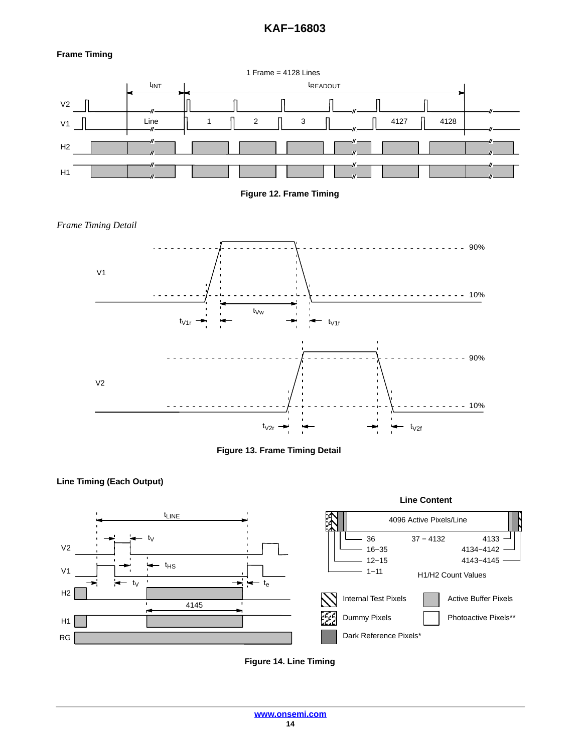# **KAF−16803**

# **Frame Timing**

















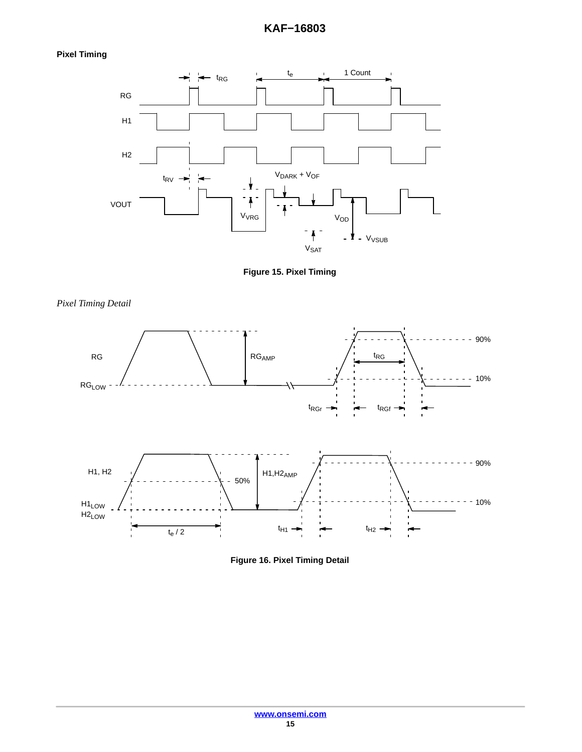# **KAF−16803**

# **Pixel Timing**

*Pixel Timing Detail*





90%  $\overline{a}$  $\blacksquare$ **RG<sub>AMP</sub>** t<sub>RG</sub> RG  $- 10%$ RGLOW  $t_{RGr} \rightarrow$   $\leftarrow$   $t_{RGf}$  $- - - 90%$  $H1, H2<sub>AMP</sub>$ H1, H2  $-50%$  $-10%$ H1LOW H2LOW  $t_{H1}$   $\rightarrow$   $\rightarrow$   $t_{H2}$ t<sub>e</sub> / 2



**[www.onsemi.com](http://onsemi.com) 15**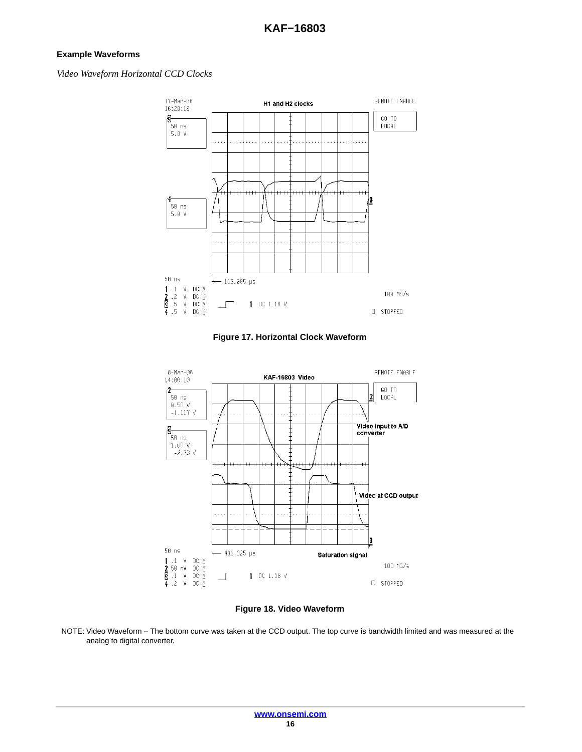# **Example Waveforms**

# *Video Waveform Horizontal CCD Clocks*



**Figure 17. Horizontal Clock Waveform**



**Figure 18. Video Waveform**

NOTE: Video Waveform – The bottom curve was taken at the CCD output. The top curve is bandwidth limited and was measured at the analog to digital converter.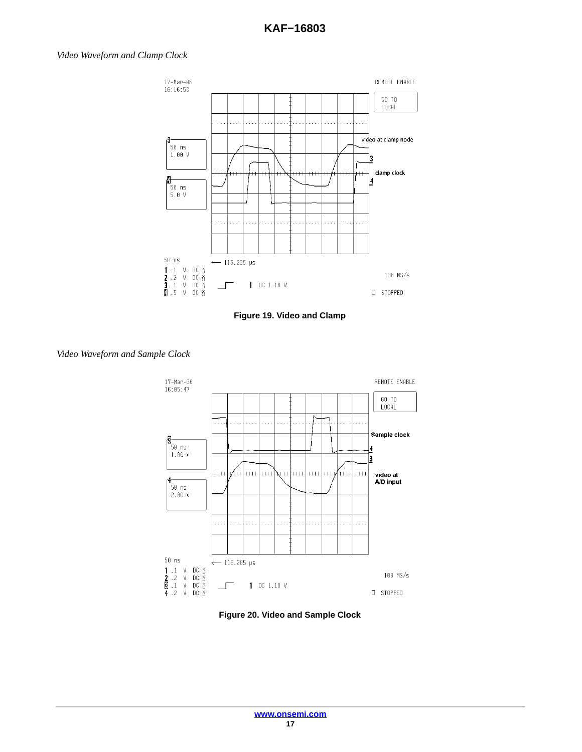# *Video Waveform and Clamp Clock*



**Figure 19. Video and Clamp**



# *Video Waveform and Sample Clock*

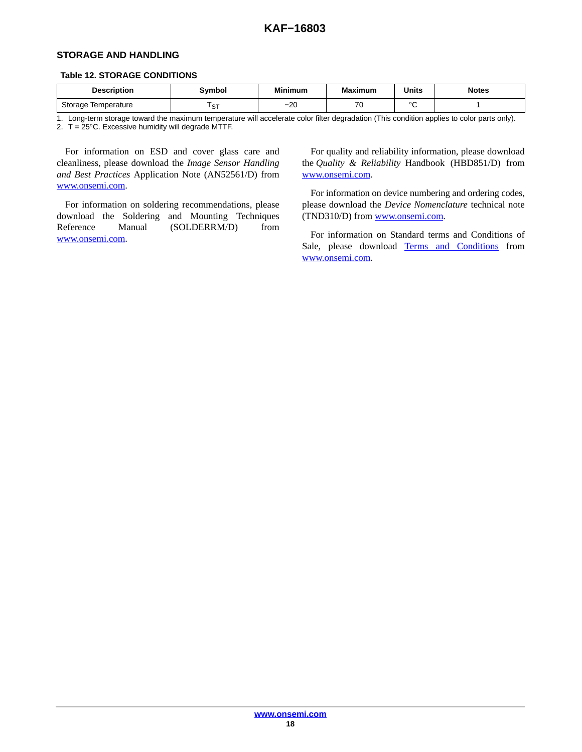# **STORAGE AND HANDLING**

#### **Table 12. STORAGE CONDITIONS**

| <b>Description</b>     | Svmbol        | <b>Minimum</b> | <b>Maximum</b>                | <b>Units</b> | <b>Notes</b> |
|------------------------|---------------|----------------|-------------------------------|--------------|--------------|
| Storage<br>Temperature | $\sim$<br>، ب | $\sim$<br>–∠∪  | $\overline{\phantom{a}}$<br>ັ | $\sim$       |              |

1. Long-term storage toward the maximum temperature will accelerate color filter degradation (This condition applies to color parts only). 2.  $T = 25^{\circ}$ C. Excessive humidity will degrade MTTF.

For information on ESD and cover glass care and cleanliness, please download the *Image Sensor Handling and Best Practices* Application Note (AN52561/D) from [www.onsemi.com.](http://onsemi.com)

For information on soldering recommendations, please download the Soldering and Mounting Techniques Reference Manual (SOLDERRM/D) from [www.onsemi.com.](http://onsemi.com)

For quality and reliability information, please download the *Quality & Reliability* Handbook (HBD851/D) from [www.onsemi.com.](http://onsemi.com)

For information on device numbering and ordering codes, please download the *Device Nomenclature* technical note (TND310/D) from [www.onsemi.com](http://onsemi.com).

For information on Standard terms and Conditions of Sale, please download [Terms and Conditions](http://www.onsemi.com/site/pdf/ONSEMI_T&C.pdf) from [www.onsemi.com.](http://onsemi.com)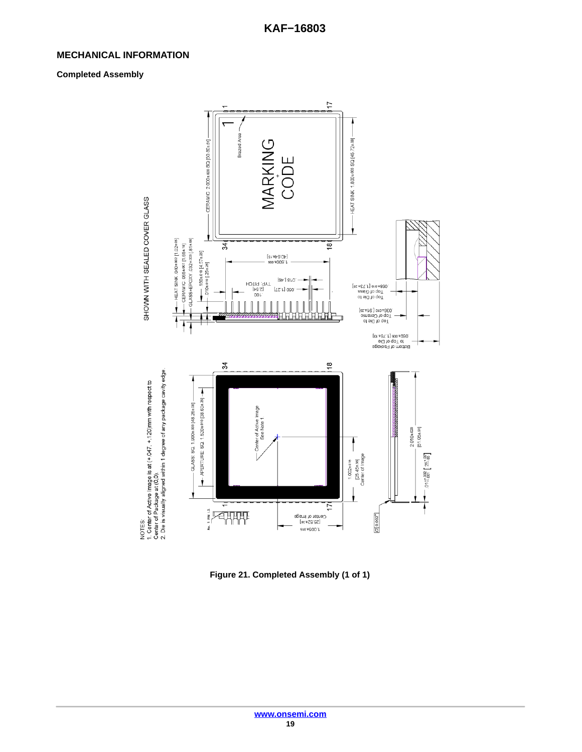# **MECHANICAL INFORMATION**

# **Completed Assembly**



**Figure 21. Completed Assembly (1 of 1)**